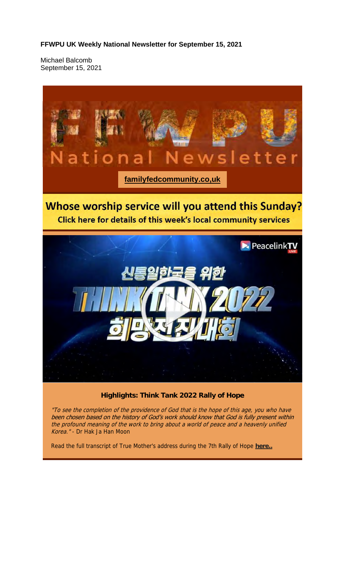**FFWPU UK Weekly National Newsletter for September 15, 2021**

Michael Balcomb September 15, 2021



"To see the completion of the providence of God that is the hope of this age, you who have been chosen based on the history of God's work should know that God is fully present within the profound meaning of the work to bring about a world of peace and a heavenly unified Korea." - Dr Hak Ja Han Moon

Read the full transcript of True Mother's address during the 7th Rally of Hope **here..**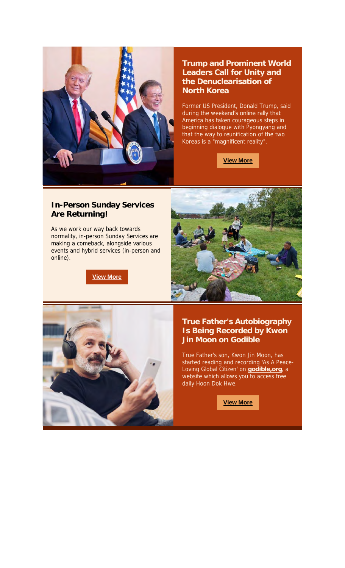

### **Trump and Prominent World Leaders Call for Unity and the Denuclearisation of North Korea**

Former US President, Donald Trump, said during the weekend's online rally that America has taken courageous steps in beginning dialogue with Pyongyang and that the way to reunification of the two Koreas is a "magnificent reality".

**View More**

#### **In-Person Sunday Services Are Returning!**

As we work our way back towards normality, in-person Sunday Services are making a comeback, alongside various events and hybrid services (in-person and online).

**View More**





### **True Father's Autobiography Is Being Recorded by Kwon Jin Moon on Godible**

True Father's son, Kwon Jin Moon, has started reading and recording 'As A Peace-Loving Global Citizen' on **godible,org**, a website which allows you to access free daily Hoon Dok Hwe.

**View More**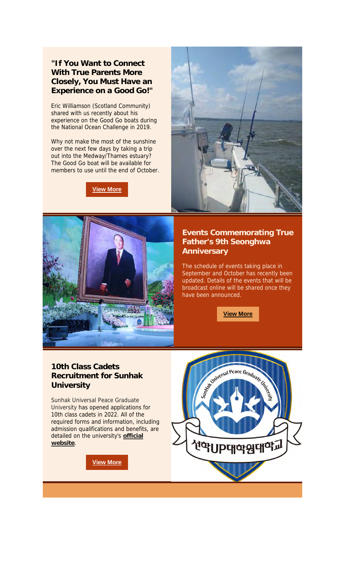### **"If You Want to Connect With True Parents More Closely, You Must Have an Experience on a Good Go!"**

Eric Williamson (Scotland Community) shared with us recently about his experience on the Good Go boats during the National Ocean Challenge in 2019.

Why not make the most of the sunshine over the next few days by taking a trip out into the Medway/Thames estuary? The Good Go boat will be available for members to use until the end of October.

**View More**





### **Events Commemorating True Father's 9th Seonghwa Anniversary**

The schedule of events taking place in September and October has recently been updated. Details of the events that will be broadcast online will be shared once they have been announced.

**View More**

### **10th Class Cadets Recruitment for Sunhak University**

Sunhak Universal Peace Graduate University has opened applications for 10th class cadets in 2022. All of the required forms and information, including admission qualifications and benefits, are detailed on the university's **official website**.

**View More**

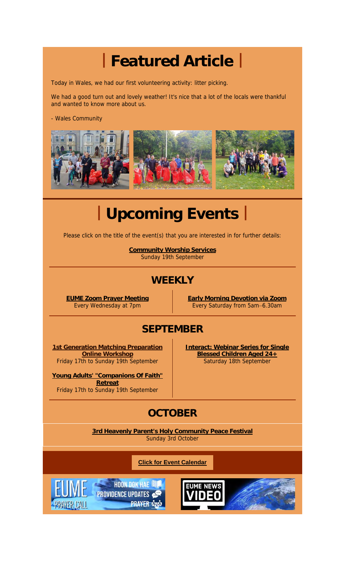## **| Featured Article |**

Today in Wales, we had our first volunteering activity: litter picking.

We had a good turn out and lovely weather! It's nice that a lot of the locals were thankful and wanted to know more about us.

- Wales Community



# **| Upcoming Events |**

Please click on the title of the event(s) that you are interested in for further details:

**Community Worship Services** Sunday 19th September

## **WEEKLY**

**EUME Zoom Prayer Meeting** Every Wednesday at 7pm

**Early Morning Devotion via Zoom** Every Saturday from 5am–6.30am

### **SEPTEMBER**

**1st Generation Matching Preparation Online Workshop** Friday 17th to Sunday 19th September

**Young Adults' "Companions Of Faith" Retreat** Friday 17th to Sunday 19th September

**Interact: Webinar Series for Single Blessed Children Aged 24+** Saturday 18th September

## **OCTOBER**

**3rd Heavenly Parent's Holy Community Peace Festival** Sunday 3rd October

**Click for Event Calendar**

**HOON DOK HAE NEW PROVIDENCE UPDATES PRAYER CASE** 

PRAYER CALL